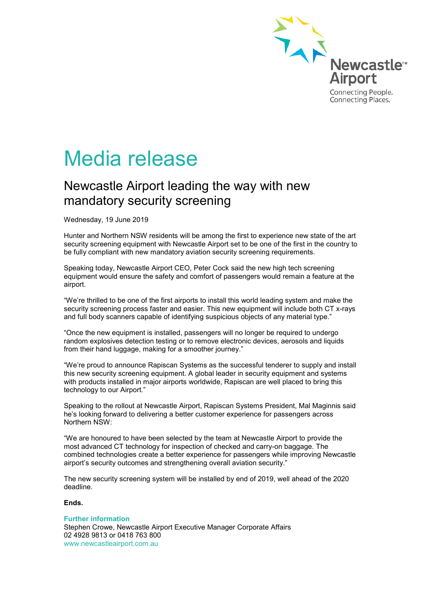

## Media release

## Newcastle Airport leading the way with new mandatory security screening

Wednesday, 19 June 2019

Hunter and Northern NSW residents will be among the first to experience new state of the art security screening equipment with Newcastle Airport set to be one of the first in the country to be fully compliant with new mandatory aviation security screening requirements.

Speaking today, Newcastle Airport CEO, Peter Cock said the new high tech screening equipment would ensure the safety and comfort of passengers would remain a feature at the airport.

"We're thrilled to be one of the first airports to install this world leading system and make the security screening process faster and easier. This new equipment will include both CT x-rays and full body scanners capable of identifying suspicious objects of any material type."

"Once the new equipment is installed, passengers will no longer be required to undergo random explosives detection testing or to remove electronic devices, aerosols and liquids from their hand luggage, making for a smoother journey."

"We're proud to announce Rapiscan Systems as the successful tenderer to supply and install this new security screening equipment. A global leader in security equipment and systems with products installed in major airports worldwide, Rapiscan are well placed to bring this technology to our Airport."

Speaking to the rollout at Newcastle Airport, Rapiscan Systems President, Mal Maginnis said he's looking forward to delivering a better customer experience for passengers across Northern NSW:

"We are honoured to have been selected by the team at Newcastle Airport to provide the most advanced CT technology for inspection of checked and carry-on baggage. The combined technologies create a better experience for passengers while improving Newcastle airport's security outcomes and strengthening overall aviation security."

The new security screening system will be installed by end of 2019, well ahead of the 2020 deadline.

## **Ends.**

**Further information**

Stephen Crowe, Newcastle Airport Executive Manager Corporate Affairs 02 4928 9813 or 0418 763 800 www.newcastleairport.com.au